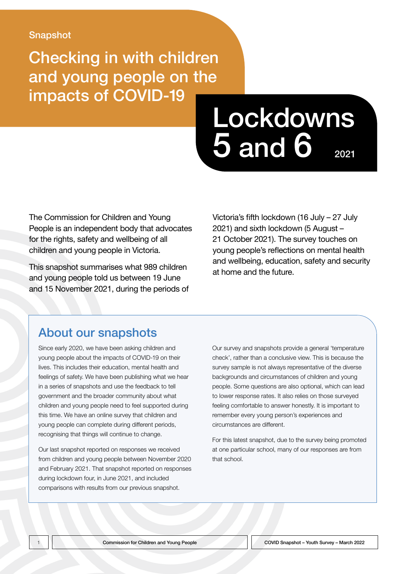#### Snapshot

Checking in with children and young people on the impacts of COVID-19

# Lockdowns  $5$  and  $6$   $_{2021}$

The Commission for Children and Young People is an independent body that advocates for the rights, safety and wellbeing of all children and young people in Victoria.

This snapshot summarises what 989 children and young people told us between 19 June and 15 November 2021, during the periods of Victoria's fifth lockdown (16 July – 27 July 2021) and sixth lockdown (5 August – 21 October 2021). The survey touches on young people's reflections on mental health and wellbeing, education, safety and security at home and the future.

### About our snapshots

Since early 2020, we have been asking children and young people about the impacts of COVID-19 on their lives. This includes their education, mental health and feelings of safety. We have been publishing what we hear in a series of snapshots and use the feedback to tell government and the broader community about what children and young people need to feel supported during this time. We have an online survey that children and young people can complete during different periods, recognising that things will continue to change.

Our last snapshot reported on responses we received from children and young people between November 2020 and February 2021. That snapshot reported on responses during lockdown four, in June 2021, and included comparisons with results from our previous snapshot.

Our survey and snapshots provide a general 'temperature check', rather than a conclusive view. This is because the survey sample is not always representative of the diverse backgrounds and circumstances of children and young people. Some questions are also optional, which can lead to lower response rates. It also relies on those surveyed feeling comfortable to answer honestly. It is important to remember every young person's experiences and circumstances are different.

For this latest snapshot, due to the survey being promoted at one particular school, many of our responses are from that school.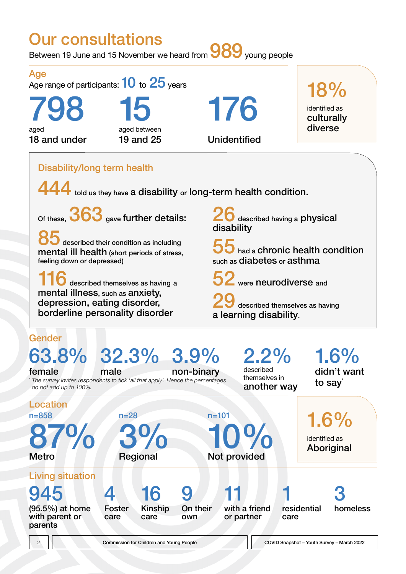# Our consultations

Between 19 June and 15 November we heard from **989** young people



2 Commission for Children and Young People COVID Snapshot – Youth Survey – March 2022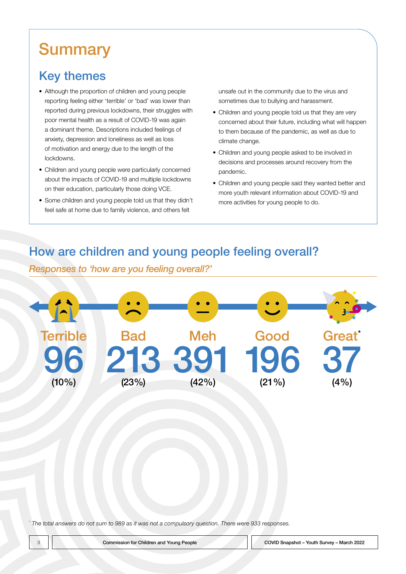# **Summary**

## Key themes

- Although the proportion of children and young people reporting feeling either 'terrible' or 'bad' was lower than reported during previous lockdowns, their struggles with poor mental health as a result of COVID-19 was again a dominant theme. Descriptions included feelings of anxiety, depression and loneliness as well as loss of motivation and energy due to the length of the lockdowns.
- Children and young people were particularly concerned about the impacts of COVID-19 and multiple lockdowns on their education, particularly those doing VCE.
- Some children and young people told us that they didn't feel safe at home due to family violence, and others felt

unsafe out in the community due to the virus and sometimes due to bullying and harassment.

- Children and young people told us that they are very concerned about their future, including what will happen to them because of the pandemic, as well as due to climate change.
- Children and young people asked to be involved in decisions and processes around recovery from the pandemic.
- Children and young people said they wanted better and more youth relevant information about COVID-19 and more activities for young people to do.

### How are children and young people feeling overall?

*Responses to 'how are you feeling overall?'*



\*  *The total answers do not sum to 989 as it was not a compulsory question. There were 933 responses.*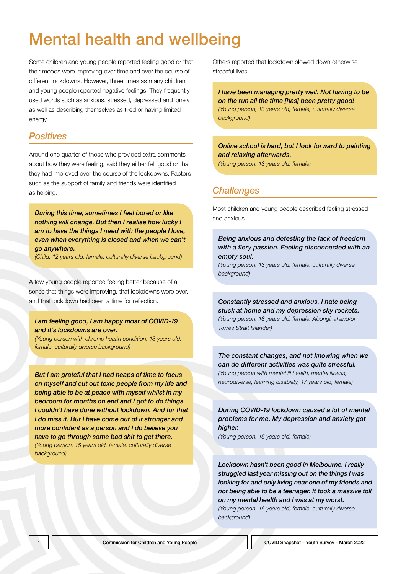# Mental health and wellbeing

Some children and young people reported feeling good or that their moods were improving over time and over the course of different lockdowns. However, three times as many children and young people reported negative feelings. They frequently used words such as anxious, stressed, depressed and lonely as well as describing themselves as tired or having limited energy.

#### *Positives*

Around one quarter of those who provided extra comments about how they were feeling, said they either felt good or that they had improved over the course of the lockdowns. Factors such as the support of family and friends were identified as helping.

*During this time, sometimes I feel bored or like nothing will change. But then I realise how lucky I am to have the things I need with the people I love, even when everything is closed and when we can't go anywhere.* 

*(Child, 12 years old, female, culturally diverse background)*

A few young people reported feeling better because of a sense that things were improving, that lockdowns were over, and that lockdown had been a time for reflection.

#### *I am feeling good, I am happy most of COVID-19 and it's lockdowns are over.*

*(Young person with chronic health condition, 13 years old, female, culturally diverse background)*

*But I am grateful that I had heaps of time to focus on myself and cut out toxic people from my life and being able to be at peace with myself whilst in my bedroom for months on end and I got to do things I couldn't have done without lockdown. And for that I do miss it. But I have come out of it stronger and more confident as a person and I do believe you have to go through some bad shit to get there. (Young person, 16 years old, female, culturally diverse background)*

Others reported that lockdown slowed down otherwise stressful lives:

*I have been managing pretty well. Not having to be on the run all the time [has] been pretty good! (Young person, 13 years old, female, culturally diverse background)*

#### *Online school is hard, but I look forward to painting and relaxing afterwards.*

*(Young person, 13 years old, female)*

#### *Challenges*

Most children and young people described feeling stressed and anxious.

#### *Being anxious and detesting the lack of freedom with a fiery passion. Feeling disconnected with an empty soul.*

*(Young person, 13 years old, female, culturally diverse background)*

*Constantly stressed and anxious. I hate being stuck at home and my depression sky rockets. (Young person, 18 years old, female, Aboriginal and/or Torres Strait Islander)*

*The constant changes, and not knowing when we can do different activities was quite stressful. (Young person with mental ill health, mental illness, neurodiverse, learning disability, 17 years old, female)*

*During COVID-19 lockdown caused a lot of mental problems for me. My depression and anxiety got higher.* 

*(Young person, 15 years old, female)*

*Lockdown hasn't been good in Melbourne. I really struggled last year missing out on the things I was looking for and only living near one of my friends and not being able to be a teenager. It took a massive toll on my mental health and I was at my worst. (Young person, 16 years old, female, culturally diverse background)*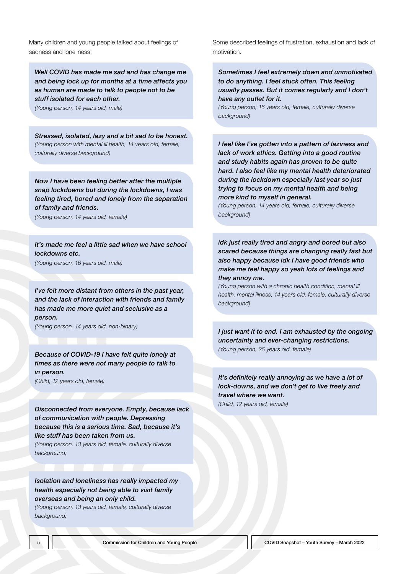Many children and young people talked about feelings of sadness and loneliness.

*Well COVID has made me sad and has change me and being lock up for months at a time affects you as human are made to talk to people not to be stuff isolated for each other.* 

*(Young person, 14 years old, male)*

*Stressed, isolated, lazy and a bit sad to be honest. (Young person with mental ill health, 14 years old, female, culturally diverse background)*

*Now I have been feeling better after the multiple snap lockdowns but during the lockdowns, I was feeling tired, bored and lonely from the separation of family and friends.* 

*(Young person, 14 years old, female)*

*It's made me feel a little sad when we have school lockdowns etc.* 

*(Young person, 16 years old, male)*

*I've felt more distant from others in the past year, and the lack of interaction with friends and family has made me more quiet and seclusive as a person.* 

*(Young person, 14 years old, non-binary)*

*Because of COVID-19 I have felt quite lonely at times as there were not many people to talk to in person.* 

*(Child, 12 years old, female)*

*Disconnected from everyone. Empty, because lack of communication with people. Depressing because this is a serious time. Sad, because it's like stuff has been taken from us.* 

*(Young person, 13 years old, female, culturally diverse background)*

*Isolation and loneliness has really impacted my health especially not being able to visit family overseas and being an only child.* 

*(Young person, 13 years old, female, culturally diverse background)*

Some described feelings of frustration, exhaustion and lack of motivation.

*Sometimes I feel extremely down and unmotivated to do anything. I feel stuck often. This feeling usually passes. But it comes regularly and I don't have any outlet for it.* 

*(Young person, 16 years old, female, culturally diverse background)*

*I feel like I've gotten into a pattern of laziness and lack of work ethics. Getting into a good routine and study habits again has proven to be quite hard. I also feel like my mental health deteriorated during the lockdown especially last year so just trying to focus on my mental health and being more kind to myself in general.* 

*(Young person, 14 years old, female, culturally diverse background)*

*idk just really tired and angry and bored but also scared because things are changing really fast but also happy because idk I have good friends who make me feel happy so yeah lots of feelings and they annoy me.* 

*(Young person with a chronic health condition, mental ill health, mental illness, 14 years old, female, culturally diverse background)*

*I just want it to end. I am exhausted by the ongoing uncertainty and ever-changing restrictions. (Young person, 25 years old, female)*

*It's definitely really annoying as we have a lot of lock-downs, and we don't get to live freely and travel where we want.* 

*(Child, 12 years old, female)*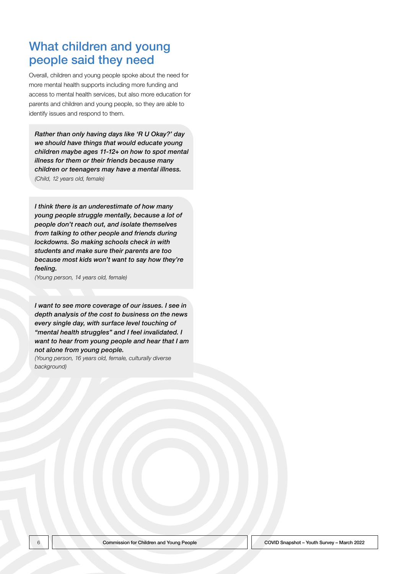### What children and young people said they need

Overall, children and young people spoke about the need for more mental health supports including more funding and access to mental health services, but also more education for parents and children and young people, so they are able to identify issues and respond to them.

*Rather than only having days like 'R U Okay?' day we should have things that would educate young children maybe ages 11-12+ on how to spot mental illness for them or their friends because many children or teenagers may have a mental illness. (Child, 12 years old, female)*

*I think there is an underestimate of how many young people struggle mentally, because a lot of people don't reach out, and isolate themselves from talking to other people and friends during lockdowns. So making schools check in with students and make sure their parents are too because most kids won't want to say how they're feeling.* 

*(Young person, 14 years old, female)*

*I want to see more coverage of our issues. I see in depth analysis of the cost to business on the news every single day, with surface level touching of "mental health struggles" and I feel invalidated. I want to hear from young people and hear that I am not alone from young people.* 

*(Young person, 16 years old, female, culturally diverse background)*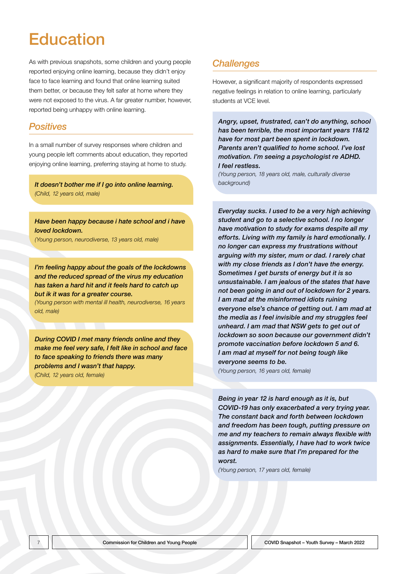# **Education**

As with previous snapshots, some children and young people reported enjoying online learning, because they didn't enjoy face to face learning and found that online learning suited them better, or because they felt safer at home where they were not exposed to the virus. A far greater number, however, reported being unhappy with online learning.

#### *Positives*

In a small number of survey responses where children and young people left comments about education, they reported enjoying online learning, preferring staying at home to study.

*It doesn't bother me if I go into online learning. (Child, 12 years old, male)*

*Have been happy because i hate school and i have loved lockdown.* 

*(Young person, neurodiverse, 13 years old, male)*

*I'm feeling happy about the goals of the lockdowns and the reduced spread of the virus my education has taken a hard hit and it feels hard to catch up but ik it was for a greater course.* 

*(Young person with mental ill health, neurodiverse, 16 years old, male)*

*During COVID I met many friends online and they make me feel very safe, I felt like in school and face to face speaking to friends there was many problems and I wasn't that happy.* 

*(Child, 12 years old, female)*

#### *Challenges*

However, a significant majority of respondents expressed negative feelings in relation to online learning, particularly students at VCE level.

*Angry, upset, frustrated, can't do anything, school has been terrible, the most important years 11&12 have for most part been spent in lockdown. Parents aren't qualified to home school. I've lost motivation. I'm seeing a psychologist re ADHD. I feel restless.* 

*(Young person, 18 years old, male, culturally diverse background)*

*Everyday sucks. I used to be a very high achieving student and go to a selective school. I no longer have motivation to study for exams despite all my efforts. Living with my family is hard emotionally. I no longer can express my frustrations without arguing with my sister, mum or dad. I rarely chat with my close friends as I don't have the energy. Sometimes I get bursts of energy but it is so unsustainable. I am jealous of the states that have not been going in and out of lockdown for 2 years. I am mad at the misinformed idiots ruining everyone else's chance of getting out. I am mad at the media as I feel invisible and my struggles feel unheard. I am mad that NSW gets to get out of lockdown so soon because our government didn't promote vaccination before lockdown 5 and 6. I am mad at myself for not being tough like everyone seems to be.* 

*(Young person, 16 years old, female)*

*Being in year 12 is hard enough as it is, but COVID-19 has only exacerbated a very trying year. The constant back and forth between lockdown and freedom has been tough, putting pressure on me and my teachers to remain always flexible with assignments. Essentially, I have had to work twice as hard to make sure that I'm prepared for the worst.* 

*(Young person, 17 years old, female)*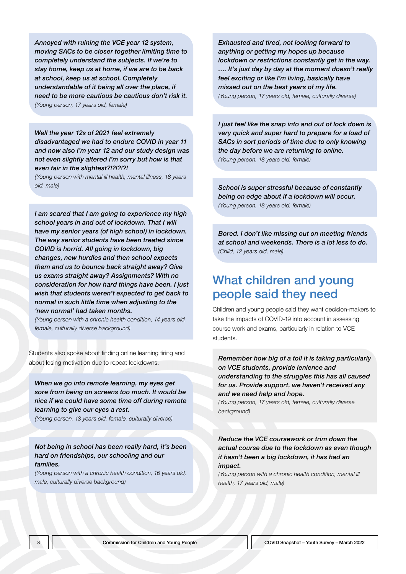*Annoyed with ruining the VCE year 12 system, moving SACs to be closer together limiting time to completely understand the subjects. If we're to stay home, keep us at home, if we are to be back at school, keep us at school. Completely understandable of it being all over the place, if need to be more cautious be cautious don't risk it. (Young person, 17 years old, female)*

*Well the year 12s of 2021 feel extremely disadvantaged we had to endure COVID in year 11 and now also I'm year 12 and our study design was not even slightly altered I'm sorry but how is that even fair in the slightest?!?!?!?!* 

*(Young person with mental ill health, mental illness, 18 years old, male)*

*I am scared that I am going to experience my high school years in and out of lockdown. That I will have my senior years (of high school) in lockdown. The way senior students have been treated since COVID is horrid. All going in lockdown, big changes, new hurdles and then school expects them and us to bounce back straight away? Give us exams straight away? Assignments? With no consideration for how hard things have been. I just wish that students weren't expected to get back to normal in such little time when adjusting to the 'new normal' had taken months.* 

*(Young person with a chronic health condition, 14 years old, female, culturally diverse background)*

Students also spoke about finding online learning tiring and about losing motivation due to repeat lockdowns.

*When we go into remote learning, my eyes get sore from being on screens too much. It would be nice if we could have some time off during remote learning to give our eyes a rest.* 

*(Young person, 13 years old, female, culturally diverse)*

*Not being in school has been really hard, it's been hard on friendships, our schooling and our families.* 

*(Young person with a chronic health condition, 16 years old, male, culturally diverse background)*

*Exhausted and tired, not looking forward to anything or getting my hopes up because lockdown or restrictions constantly get in the way. …. It's just day by day at the moment doesn't really feel exciting or like I'm living, basically have missed out on the best years of my life. (Young person, 17 years old, female, culturally diverse)*

*I just feel like the snap into and out of lock down is very quick and super hard to prepare for a load of SACs in sort periods of time due to only knowing the day before we are returning to online. (Young person, 18 years old, female)*

*School is super stressful because of constantly being on edge about if a lockdown will occur. (Young person, 18 years old, female)*

*Bored. I don't like missing out on meeting friends at school and weekends. There is a lot less to do. (Child, 12 years old, male)*

### What children and young people said they need

Children and young people said they want decision-makers to take the impacts of COVID-19 into account in assessing course work and exams, particularly in relation to VCE students.

*Remember how big of a toll it is taking particularly on VCE students, provide lenience and understanding to the struggles this has all caused for us. Provide support, we haven't received any and we need help and hope.* 

*(Young person, 17 years old, female, culturally diverse background)*

*Reduce the VCE coursework or trim down the actual course due to the lockdown as even though it hasn't been a big lockdown, it has had an impact.* 

*(Young person with a chronic health condition, mental ill health, 17 years old, male)*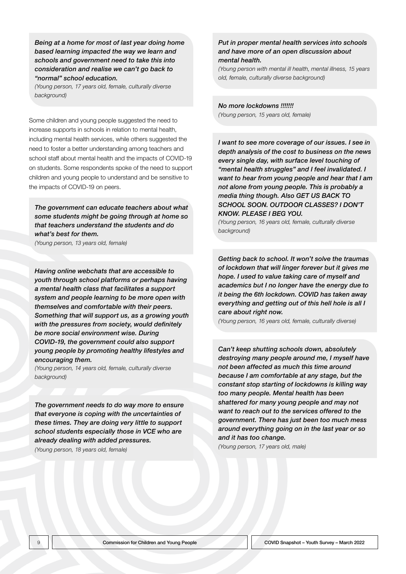*Being at a home for most of last year doing home based learning impacted the way we learn and schools and government need to take this into consideration and realise we can't go back to "normal" school education.* 

*(Young person, 17 years old, female, culturally diverse background)*

Some children and young people suggested the need to increase supports in schools in relation to mental health, including mental health services, while others suggested the need to foster a better understanding among teachers and school staff about mental health and the impacts of COVID-19 on students. Some respondents spoke of the need to support children and young people to understand and be sensitive to the impacts of COVID-19 on peers.

*The government can educate teachers about what some students might be going through at home so that teachers understand the students and do what's best for them.* 

*(Young person, 13 years old, female)*

*Having online webchats that are accessible to youth through school platforms or perhaps having a mental health class that facilitates a support system and people learning to be more open with themselves and comfortable with their peers. Something that will support us, as a growing youth with the pressures from society, would definitely be more social environment wise. During COVID-19, the government could also support young people by promoting healthy lifestyles and encouraging them.* 

*(Young person, 14 years old, female, culturally diverse background)*

*The government needs to do way more to ensure that everyone is coping with the uncertainties of these times. They are doing very little to support school students especially those in VCE who are already dealing with added pressures. (Young person, 18 years old, female)*

#### *Put in proper mental health services into schools and have more of an open discussion about mental health.*

*(Young person with mental ill health, mental illness, 15 years old, female, culturally diverse background)*

*No more lockdowns !!!!!!! (Young person, 15 years old, female)*

*I want to see more coverage of our issues. I see in depth analysis of the cost to business on the news every single day, with surface level touching of "mental health struggles" and I feel invalidated. I want to hear from young people and hear that I am not alone from young people. This is probably a media thing though. Also GET US BACK TO SCHOOL SOON. OUTDOOR CLASSES? I DON'T KNOW. PLEASE I BEG YOU.* 

*(Young person, 16 years old, female, culturally diverse background)*

*Getting back to school. It won't solve the traumas of lockdown that will linger forever but it gives me hope. I used to value taking care of myself and academics but I no longer have the energy due to it being the 6th lockdown. COVID has taken away everything and getting out of this hell hole is all I care about right now.* 

*(Young person, 16 years old, female, culturally diverse)*

*Can't keep shutting schools down, absolutely destroying many people around me, I myself have not been affected as much this time around because I am comfortable at any stage, but the constant stop starting of lockdowns is killing way too many people. Mental health has been shattered for many young people and may not want to reach out to the services offered to the government. There has just been too much mess around everything going on in the last year or so and it has too change.* 

*(Young person, 17 years old, male)*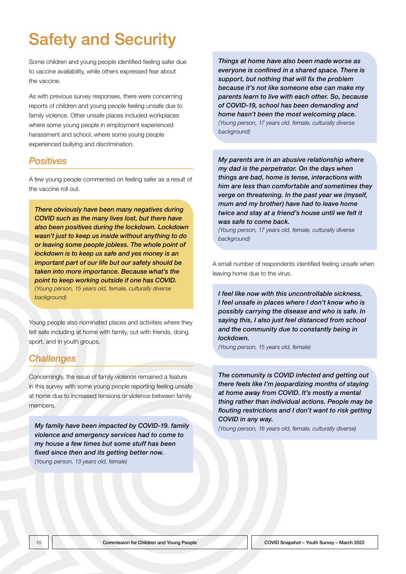# Safety and Security

Some children and young people identified feeling safer due to vaccine availability, while others expressed fear about the vaccine.

As with previous survey responses, there were concerning reports of children and young people feeling unsafe due to family violence. Other unsafe places included workplaces where some young people in employment experienced harassment and school, where some young people experienced bullying and discrimination.

#### *Positives*

A few young people commented on feeling safer as a result of the vaccine roll out.

*There obviously have been many negatives during COVID such as the many lives lost, but there have also been positives during the lockdown. Lockdown wasn't just to keep us inside without anything to do or leaving some people jobless. The whole point of lockdown is to keep us safe and yes money is an important part of our life but our safety should be taken into more importance. Because what's the point to keep working outside if one has COVID. (Young person, 15 years old, female, culturally diverse background)*

Young people also nominated places and activities where they felt safe including at home with family, out with friends, doing sport, and in youth groups.

#### *Challenges*

Concerningly, the issue of family violence remained a feature in this survey with some young people reporting feeling unsafe at home due to increased tensions or violence between family members.

*My family have been impacted by COVID-19. family violence and emergency services had to come to my house a few times but some stuff has been fixed since then and its getting better now. (Young person, 13 years old, female)*

*Things at home have also been made worse as everyone is confined in a shared space. There is support, but nothing that will fix the problem because it's not like someone else can make my parents learn to live with each other. So, because of COVID-19, school has been demanding and home hasn't been the most welcoming place. (Young person, 17 years old, female, culturally diverse background)*

*My parents are in an abusive relationship where my dad is the perpetrator. On the days when things are bad, home is tense, interactions with him are less than comfortable and sometimes they verge on threatening. In the past year we (myself, mum and my brother) have had to leave home twice and stay at a friend's house until we felt it was safe to come back.* 

*(Young person, 17 years old, female, culturally diverse background)*

A small number of respondents identified feeling unsafe when leaving home due to the virus.

*I feel like now with this uncontrollable sickness, I feel unsafe in places where I don't know who is possibly carrying the disease and who is safe. In saying this, I also just feel distanced from school and the community due to constantly being in lockdown.* 

*(Young person, 15 years old, female)*

*The community is COVID infected and getting out there feels like I'm jeopardizing months of staying at home away from COVID. It's mostly a mental thing rather than individual actions. People may be flouting restrictions and I don't want to risk getting COVID in any way.* 

*(Young person, 16 years old, female, culturally diverse)*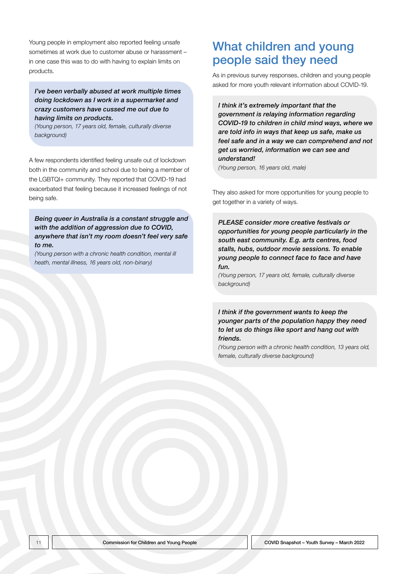Young people in employment also reported feeling unsafe sometimes at work due to customer abuse or harassment – in one case this was to do with having to explain limits on products.

*I've been verbally abused at work multiple times doing lockdown as I work in a supermarket and crazy customers have cussed me out due to having limits on products.* 

*(Young person, 17 years old, female, culturally diverse background)*

A few respondents identified feeling unsafe out of lockdown both in the community and school due to being a member of the LGBTQI+ community. They reported that COVID-19 had exacerbated that feeling because it increased feelings of not being safe.

#### *Being queer in Australia is a constant struggle and with the addition of aggression due to COVID, anywhere that isn't my room doesn't feel very safe to me.*

*(Young person with a chronic health condition, mental ill heath, mental illness, 16 years old, non-binary)*

### What children and young people said they need

As in previous survey responses, children and young people asked for more youth relevant information about COVID-19.

*I think it's extremely important that the government is relaying information regarding COVID-19 to children in child mind ways, where we are told info in ways that keep us safe, make us feel safe and in a way we can comprehend and not get us worried, information we can see and understand!* 

*(Young person, 16 years old, male)*

They also asked for more opportunities for young people to get together in a variety of ways.

*PLEASE consider more creative festivals or opportunities for young people particularly in the south east community. E.g. arts centres, food stalls, hubs, outdoor movie sessions. To enable young people to connect face to face and have fun.* 

*(Young person, 17 years old, female, culturally diverse background)*

#### *I think if the government wants to keep the younger parts of the population happy they need to let us do things like sport and hang out with friends.*

*(Young person with a chronic health condition, 13 years old, female, culturally diverse background)*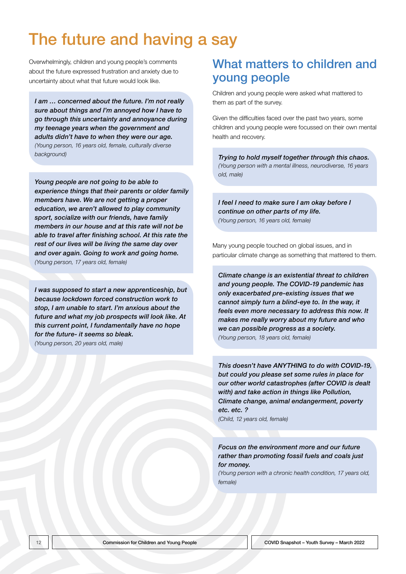# The future and having a say

Overwhelmingly, children and young people's comments about the future expressed frustration and anxiety due to uncertainty about what that future would look like.

*I am … concerned about the future. I'm not really sure about things and I'm annoyed how I have to go through this uncertainty and annoyance during my teenage years when the government and adults didn't have to when they were our age. (Young person, 16 years old, female, culturally diverse background)*

*Young people are not going to be able to experience things that their parents or older family members have. We are not getting a proper education, we aren't allowed to play community sport, socialize with our friends, have family members in our house and at this rate will not be able to travel after finishing school. At this rate the rest of our lives will be living the same day over and over again. Going to work and going home. (Young person, 17 years old, female)*

*I was supposed to start a new apprenticeship, but because lockdown forced construction work to stop, I am unable to start. I'm anxious about the future and what my job prospects will look like. At this current point, I fundamentally have no hope for the future- it seems so bleak. (Young person, 20 years old, male)*

### What matters to children and young people

Children and young people were asked what mattered to them as part of the survey.

Given the difficulties faced over the past two years, some children and young people were focussed on their own mental health and recovery.

*Trying to hold myself together through this chaos. (Young person with a mental illness, neurodiverse, 16 years old, male)*

*I feel I need to make sure I am okay before I continue on other parts of my life. (Young person, 16 years old, female)*

Many young people touched on global issues, and in particular climate change as something that mattered to them.

*Climate change is an existential threat to children and young people. The COVID-19 pandemic has only exacerbated pre-existing issues that we cannot simply turn a blind-eye to. In the way, it feels even more necessary to address this now. It makes me really worry about my future and who we can possible progress as a society.* 

*(Young person, 18 years old, female)*

*This doesn't have ANYTHING to do with COVID-19, but could you please set some rules in place for our other world catastrophes (after COVID is dealt with) and take action in things like Pollution, Climate change, animal endangerment, poverty etc. etc. ? (Child, 12 years old, female)*

*Focus on the environment more and our future rather than promoting fossil fuels and coals just for money.* 

*(Young person with a chronic health condition, 17 years old, female)*